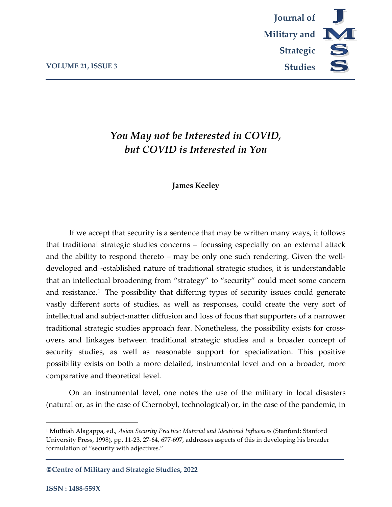

# *You May not be Interested in COVID, but COVID is Interested in You*

## **James Keeley**

If we accept that security is a sentence that may be written many ways, it follows that traditional strategic studies concerns – focussing especially on an external attack and the ability to respond thereto – may be only one such rendering. Given the welldeveloped and -established nature of traditional strategic studies, it is understandable that an intellectual broadening from "strategy" to "security" could meet some concern and resistance.[1](#page-0-0) The possibility that differing types of security issues could generate vastly different sorts of studies, as well as responses, could create the very sort of intellectual and subject-matter diffusion and loss of focus that supporters of a narrower traditional strategic studies approach fear. Nonetheless, the possibility exists for crossovers and linkages between traditional strategic studies and a broader concept of security studies, as well as reasonable support for specialization. This positive possibility exists on both a more detailed, instrumental level and on a broader, more comparative and theoretical level.

On an instrumental level, one notes the use of the military in local disasters (natural or, as in the case of Chernobyl, technological) or, in the case of the pandemic, in

**©Centre of Military and Strategic Studies, 2022**

<span id="page-0-0"></span><sup>1</sup> Muthiah Alagappa, ed., *Asian Security Practice: Material and Ideational Influences* (Stanford: Stanford University Press, 1998), pp. 11-23, 27-64, 677-697, addresses aspects of this in developing his broader formulation of "security with adjectives."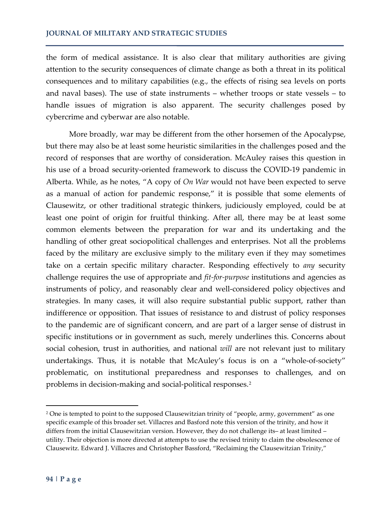the form of medical assistance. It is also clear that military authorities are giving attention to the security consequences of climate change as both a threat in its political consequences and to military capabilities (e.g., the effects of rising sea levels on ports and naval bases). The use of state instruments – whether troops or state vessels – to handle issues of migration is also apparent. The security challenges posed by cybercrime and cyberwar are also notable.

More broadly, war may be different from the other horsemen of the Apocalypse, but there may also be at least some heuristic similarities in the challenges posed and the record of responses that are worthy of consideration. McAuley raises this question in his use of a broad security-oriented framework to discuss the COVID-19 pandemic in Alberta. While, as he notes, "A copy of *On War* would not have been expected to serve as a manual of action for pandemic response," it is possible that some elements of Clausewitz, or other traditional strategic thinkers, judiciously employed, could be at least one point of origin for fruitful thinking. After all, there may be at least some common elements between the preparation for war and its undertaking and the handling of other great sociopolitical challenges and enterprises. Not all the problems faced by the military are exclusive simply to the military even if they may sometimes take on a certain specific military character. Responding effectively to *any* security challenge requires the use of appropriate and *fit-for-purpose* institutions and agencies as instruments of policy, and reasonably clear and well-considered policy objectives and strategies. In many cases, it will also require substantial public support, rather than indifference or opposition. That issues of resistance to and distrust of policy responses to the pandemic are of significant concern, and are part of a larger sense of distrust in specific institutions or in government as such, merely underlines this. Concerns about social cohesion, trust in authorities, and national *will* are not relevant just to military undertakings. Thus, it is notable that McAuley's focus is on a "whole-of-society" problematic, on institutional preparedness and responses to challenges, and on problems in decision-making and social-political responses.[2](#page-1-0)

<span id="page-1-0"></span><sup>&</sup>lt;sup>2</sup> One is tempted to point to the supposed Clausewitzian trinity of "people, army, government" as one specific example of this broader set. Villacres and Basford note this version of the trinity, and how it differs from the initial Clausewitzian version. However, they do not challenge its– at least limited – utility. Their objection is more directed at attempts to use the revised trinity to claim the obsolescence of Clausewitz. Edward J. Villacres and Christopher Bassford, "Reclaiming the Clausewitzian Trinity,"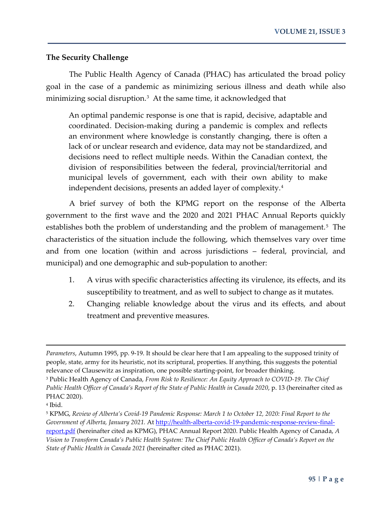## **The Security Challenge**

The Public Health Agency of Canada (PHAC) has articulated the broad policy goal in the case of a pandemic as minimizing serious illness and death while also minimizing social disruption.[3](#page-2-0) At the same time, it acknowledged that

An optimal pandemic response is one that is rapid, decisive, adaptable and coordinated. Decision-making during a pandemic is complex and reflects an environment where knowledge is constantly changing, there is often a lack of or unclear research and evidence, data may not be standardized, and decisions need to reflect multiple needs. Within the Canadian context, the division of responsibilities between the federal, provincial/territorial and municipal levels of government, each with their own ability to make independent decisions, presents an added layer of complexity.[4](#page-2-1)

A brief survey of both the KPMG report on the response of the Alberta government to the first wave and the 2020 and 2021 PHAC Annual Reports quickly establishes both the problem of understanding and the problem of management.<sup>[5](#page-2-2)</sup> The characteristics of the situation include the following, which themselves vary over time and from one location (within and across jurisdictions – federal, provincial, and municipal) and one demographic and sub-population to another:

- 1. A virus with specific characteristics affecting its virulence, its effects, and its susceptibility to treatment, and as well to subject to change as it mutates.
- 2. Changing reliable knowledge about the virus and its effects, and about treatment and preventive measures.

*Parameters*, Autumn 1995, pp. 9-19. It should be clear here that I am appealing to the supposed trinity of people, state, army for its heuristic, not its scriptural, properties. If anything, this suggests the potential relevance of Clausewitz as inspiration, one possible starting-point, for broader thinking.

<span id="page-2-0"></span><sup>3</sup> Public Health Agency of Canada, *From Risk to Resilience: An Equity Approach to COVID-19. The Chief Public Health Officer of Canada's Report of the State of Public Health in Canada 2020*, p. 13 (hereinafter cited as PHAC 2020).

<span id="page-2-1"></span><sup>4</sup> Ibid.

<span id="page-2-2"></span><sup>5</sup> KPMG, *Review of Alberta's Covid-19 Pandemic Response: March 1 to October 12, 2020: Final Report to the Government of Alberta, January 2021.* At [http://health-alberta-covid-19-pandemic-response-review-final](http://health-alberta-covid-19-pandemic-response-review-final-report.pdf/)[report.pdf](http://health-alberta-covid-19-pandemic-response-review-final-report.pdf/) (hereinafter cited as KPMG), PHAC Annual Report 2020. Public Health Agency of Canada, *A Vision to Transform Canada's Public Health System: The Chief Public Health Officer of Canada's Report on the State of Public Health in Canada 2021* (hereinafter cited as PHAC 2021).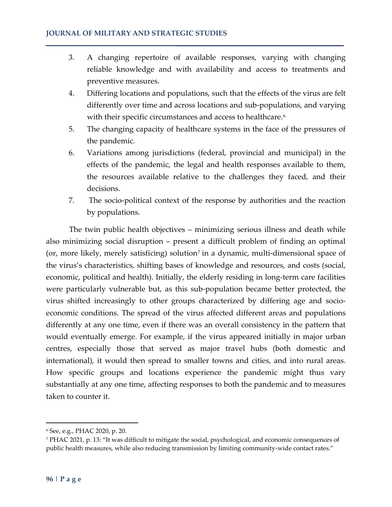- 3. A changing repertoire of available responses, varying with changing reliable knowledge and with availability and access to treatments and preventive measures.
- 4. Differing locations and populations, such that the effects of the virus are felt differently over time and across locations and sub-populations, and varying with their specific circumstances and access to healthcare.<sup>[6](#page-3-0)</sup>
- 5. The changing capacity of healthcare systems in the face of the pressures of the pandemic.
- 6. Variations among jurisdictions (federal, provincial and municipal) in the effects of the pandemic, the legal and health responses available to them, the resources available relative to the challenges they faced, and their decisions.
- 7. The socio-political context of the response by authorities and the reaction by populations.

The twin public health objectives – minimizing serious illness and death while also minimizing social disruption – present a difficult problem of finding an optimal (or, more likely, merely satisficing) solution<sup>[7](#page-3-1)</sup> in a dynamic, multi-dimensional space of the virus's characteristics, shifting bases of knowledge and resources, and costs (social, economic, political and health). Initially, the elderly residing in long-term care facilities were particularly vulnerable but, as this sub-population became better protected, the virus shifted increasingly to other groups characterized by differing age and socioeconomic conditions. The spread of the virus affected different areas and populations differently at any one time, even if there was an overall consistency in the pattern that would eventually emerge. For example, if the virus appeared initially in major urban centres, especially those that served as major travel hubs (both domestic and international), it would then spread to smaller towns and cities, and into rural areas. How specific groups and locations experience the pandemic might thus vary substantially at any one time, affecting responses to both the pandemic and to measures taken to counter it.

<span id="page-3-0"></span><sup>6</sup> See, e.g., PHAC 2020, p. 20.

<span id="page-3-1"></span><sup>7</sup> PHAC 2021, p. 13: "It was difficult to mitigate the social, psychological, and economic consequences of public health measures, while also reducing transmission by limiting community-wide contact rates."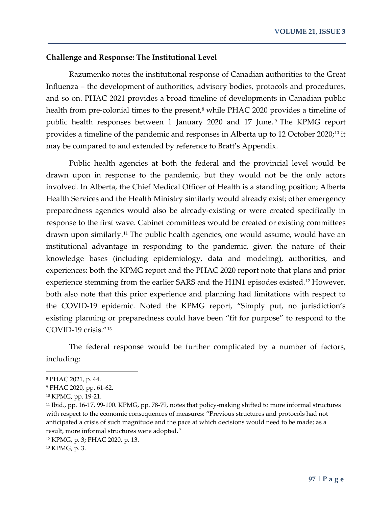#### **Challenge and Response: The Institutional Level**

Razumenko notes the institutional response of Canadian authorities to the Great Influenza – the development of authorities, advisory bodies, protocols and procedures, and so on. PHAC 2021 provides a broad timeline of developments in Canadian public health from pre-colonial times to the present,<sup>[8](#page-4-0)</sup> while PHAC 2020 provides a timeline of public health responses between 1 January 2020 and 17 June. [9](#page-4-1) The KPMG report provides a timeline of the pandemic and responses in Alberta up to 12 October 2020; [10](#page-4-2) it may be compared to and extended by reference to Bratt's Appendix.

Public health agencies at both the federal and the provincial level would be drawn upon in response to the pandemic, but they would not be the only actors involved. In Alberta, the Chief Medical Officer of Health is a standing position; Alberta Health Services and the Health Ministry similarly would already exist; other emergency preparedness agencies would also be already-existing or were created specifically in response to the first wave. Cabinet committees would be created or existing committees drawn upon similarly.[11](#page-4-3) The public health agencies, one would assume, would have an institutional advantage in responding to the pandemic, given the nature of their knowledge bases (including epidemiology, data and modeling), authorities, and experiences: both the KPMG report and the PHAC 2020 report note that plans and prior experience stemming from the earlier SARS and the H1N1 episodes existed.<sup>[12](#page-4-4)</sup> However, both also note that this prior experience and planning had limitations with respect to the COVID-19 epidemic. Noted the KPMG report, "Simply put, no jurisdiction's existing planning or preparedness could have been "fit for purpose" to respond to the COVID-19 crisis."[13](#page-4-5)

The federal response would be further complicated by a number of factors, including:

<span id="page-4-0"></span><sup>8</sup> PHAC 2021, p. 44.

<span id="page-4-1"></span><sup>9</sup> PHAC 2020, pp. 61-62.

<span id="page-4-2"></span><sup>10</sup> KPMG, pp. 19-21.

<span id="page-4-3"></span><sup>11</sup> Ibid., pp. 16-17, 99-100. KPMG, pp. 78-79, notes that policy-making shifted to more informal structures with respect to the economic consequences of measures: "Previous structures and protocols had not anticipated a crisis of such magnitude and the pace at which decisions would need to be made; as a result, more informal structures were adopted."

<span id="page-4-4"></span><sup>12</sup> KPMG, p. 3; PHAC 2020, p. 13.

<span id="page-4-5"></span><sup>13</sup> KPMG, p. 3.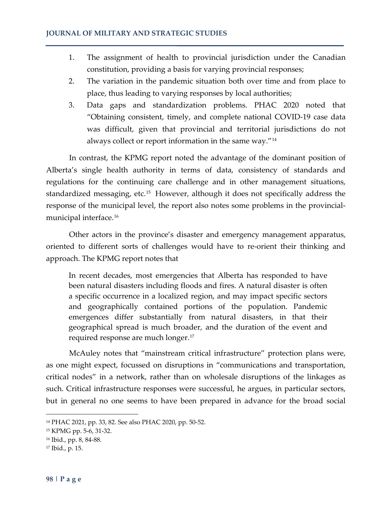- 1. The assignment of health to provincial jurisdiction under the Canadian constitution, providing a basis for varying provincial responses;
- 2. The variation in the pandemic situation both over time and from place to place, thus leading to varying responses by local authorities;
- 3. Data gaps and standardization problems. PHAC 2020 noted that "Obtaining consistent, timely, and complete national COVID-19 case data was difficult, given that provincial and territorial jurisdictions do not always collect or report information in the same way."[14](#page-5-0)

In contrast, the KPMG report noted the advantage of the dominant position of Alberta's single health authority in terms of data, consistency of standards and regulations for the continuing care challenge and in other management situations, standardized messaging, etc.[15](#page-5-1) However, although it does not specifically address the response of the municipal level, the report also notes some problems in the provincialmunicipal interface.[16](#page-5-2)

Other actors in the province's disaster and emergency management apparatus, oriented to different sorts of challenges would have to re-orient their thinking and approach. The KPMG report notes that

In recent decades, most emergencies that Alberta has responded to have been natural disasters including floods and fires. A natural disaster is often a specific occurrence in a localized region, and may impact specific sectors and geographically contained portions of the population. Pandemic emergences differ substantially from natural disasters, in that their geographical spread is much broader, and the duration of the event and required response are much longer.[17](#page-5-3)

McAuley notes that "mainstream critical infrastructure" protection plans were, as one might expect, focussed on disruptions in "communications and transportation, critical nodes" in a network, rather than on wholesale disruptions of the linkages as such. Critical infrastructure responses were successful, he argues, in particular sectors, but in general no one seems to have been prepared in advance for the broad social

<span id="page-5-0"></span><sup>14</sup> PHAC 2021, pp. 33, 82. See also PHAC 2020, pp. 50-52.

<span id="page-5-1"></span><sup>15</sup> KPMG pp. 5-6, 31-32.

<span id="page-5-2"></span><sup>16</sup> Ibid., pp. 8, 84-88.

<span id="page-5-3"></span><sup>17</sup> Ibid., p. 15.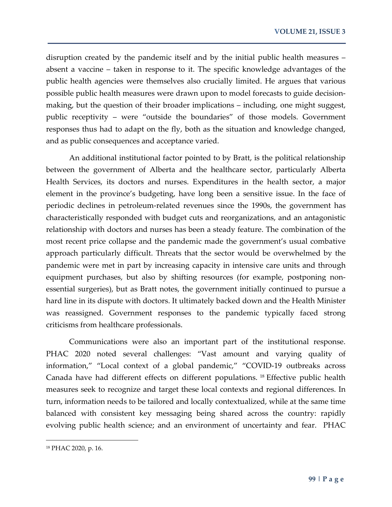disruption created by the pandemic itself and by the initial public health measures – absent a vaccine – taken in response to it. The specific knowledge advantages of the public health agencies were themselves also crucially limited. He argues that various possible public health measures were drawn upon to model forecasts to guide decisionmaking, but the question of their broader implications – including, one might suggest, public receptivity – were "outside the boundaries" of those models. Government responses thus had to adapt on the fly, both as the situation and knowledge changed, and as public consequences and acceptance varied.

An additional institutional factor pointed to by Bratt, is the political relationship between the government of Alberta and the healthcare sector, particularly Alberta Health Services, its doctors and nurses. Expenditures in the health sector, a major element in the province's budgeting, have long been a sensitive issue. In the face of periodic declines in petroleum-related revenues since the 1990s, the government has characteristically responded with budget cuts and reorganizations, and an antagonistic relationship with doctors and nurses has been a steady feature. The combination of the most recent price collapse and the pandemic made the government's usual combative approach particularly difficult. Threats that the sector would be overwhelmed by the pandemic were met in part by increasing capacity in intensive care units and through equipment purchases, but also by shifting resources (for example, postponing nonessential surgeries), but as Bratt notes, the government initially continued to pursue a hard line in its dispute with doctors. It ultimately backed down and the Health Minister was reassigned. Government responses to the pandemic typically faced strong criticisms from healthcare professionals.

Communications were also an important part of the institutional response. PHAC 2020 noted several challenges: "Vast amount and varying quality of information," "Local context of a global pandemic," "COVID-19 outbreaks across Canada have had different effects on different populations. [18](#page-6-0) Effective public health measures seek to recognize and target these local contexts and regional differences. In turn, information needs to be tailored and locally contextualized, while at the same time balanced with consistent key messaging being shared across the country: rapidly evolving public health science; and an environment of uncertainty and fear. PHAC

<span id="page-6-0"></span><sup>18</sup> PHAC 2020, p. 16.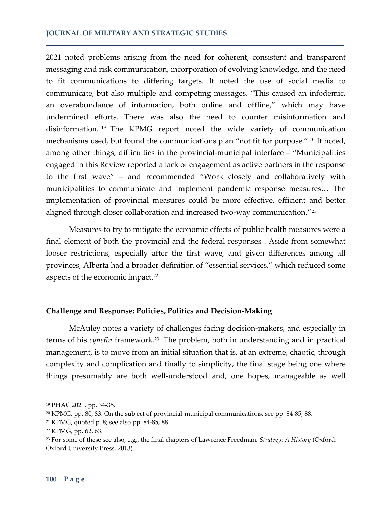2021 noted problems arising from the need for coherent, consistent and transparent messaging and risk communication, incorporation of evolving knowledge, and the need to fit communications to differing targets. It noted the use of social media to communicate, but also multiple and competing messages. "This caused an infodemic, an overabundance of information, both online and offline," which may have undermined efforts. There was also the need to counter misinformation and disinformation. [19](#page-7-0) The KPMG report noted the wide variety of communication mechanisms used, but found the communications plan "not fit for purpose."[20](#page-7-1) It noted, among other things, difficulties in the provincial-municipal interface – "Municipalities engaged in this Review reported a lack of engagement as active partners in the response to the first wave" – and recommended "Work closely and collaboratively with municipalities to communicate and implement pandemic response measures… The implementation of provincial measures could be more effective, efficient and better aligned through closer collaboration and increased two-way communication."<sup>[21](#page-7-2)</sup>

Measures to try to mitigate the economic effects of public health measures were a final element of both the provincial and the federal responses . Aside from somewhat looser restrictions, especially after the first wave, and given differences among all provinces, Alberta had a broader definition of "essential services," which reduced some aspects of the economic impact.<sup>[22](#page-7-3)</sup>

## **Challenge and Response: Policies, Politics and Decision-Making**

McAuley notes a variety of challenges facing decision-makers, and especially in terms of his *cynefin* framework.<sup>[23](#page-7-4)</sup> The problem, both in understanding and in practical management, is to move from an initial situation that is, at an extreme, chaotic, through complexity and complication and finally to simplicity, the final stage being one where things presumably are both well-understood and, one hopes, manageable as well

<span id="page-7-0"></span><sup>19</sup> PHAC 2021, pp. 34-35.

<span id="page-7-1"></span><sup>&</sup>lt;sup>20</sup> KPMG, pp. 80, 83. On the subject of provincial-municipal communications, see pp. 84-85, 88.

<span id="page-7-2"></span><sup>21</sup> KPMG, quoted p. 8; see also pp. 84-85, 88.

<span id="page-7-3"></span><sup>22</sup> KPMG, pp. 62, 63.

<span id="page-7-4"></span><sup>23</sup> For some of these see also, e.g., the final chapters of Lawrence Freedman, *Strategy: A History* (Oxford: Oxford University Press, 2013).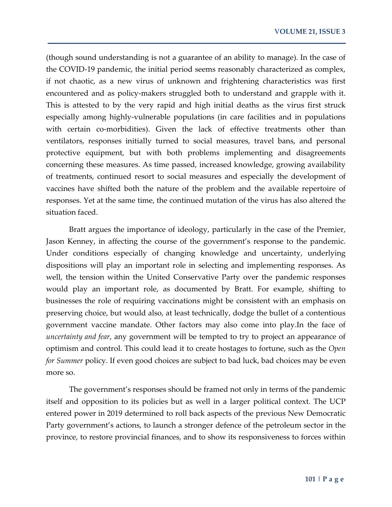(though sound understanding is not a guarantee of an ability to manage). In the case of the COVID-19 pandemic, the initial period seems reasonably characterized as complex, if not chaotic, as a new virus of unknown and frightening characteristics was first encountered and as policy-makers struggled both to understand and grapple with it. This is attested to by the very rapid and high initial deaths as the virus first struck especially among highly-vulnerable populations (in care facilities and in populations with certain co-morbidities). Given the lack of effective treatments other than ventilators, responses initially turned to social measures, travel bans, and personal protective equipment, but with both problems implementing and disagreements concerning these measures. As time passed, increased knowledge, growing availability of treatments, continued resort to social measures and especially the development of vaccines have shifted both the nature of the problem and the available repertoire of responses. Yet at the same time, the continued mutation of the virus has also altered the situation faced.

Bratt argues the importance of ideology, particularly in the case of the Premier, Jason Kenney, in affecting the course of the government's response to the pandemic. Under conditions especially of changing knowledge and uncertainty, underlying dispositions will play an important role in selecting and implementing responses. As well, the tension within the United Conservative Party over the pandemic responses would play an important role, as documented by Bratt. For example, shifting to businesses the role of requiring vaccinations might be consistent with an emphasis on preserving choice, but would also, at least technically, dodge the bullet of a contentious government vaccine mandate. Other factors may also come into play.In the face of *uncertainty and fear*, any government will be tempted to try to project an appearance of optimism and control. This could lead it to create hostages to fortune, such as the *Open for Summer* policy. If even good choices are subject to bad luck, bad choices may be even more so.

The government's responses should be framed not only in terms of the pandemic itself and opposition to its policies but as well in a larger political context. The UCP entered power in 2019 determined to roll back aspects of the previous New Democratic Party government's actions, to launch a stronger defence of the petroleum sector in the province, to restore provincial finances, and to show its responsiveness to forces within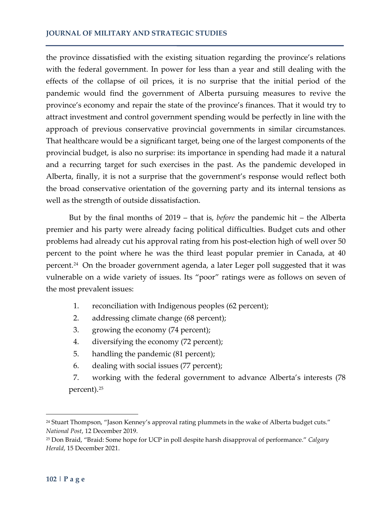the province dissatisfied with the existing situation regarding the province's relations with the federal government. In power for less than a year and still dealing with the effects of the collapse of oil prices, it is no surprise that the initial period of the pandemic would find the government of Alberta pursuing measures to revive the province's economy and repair the state of the province's finances. That it would try to attract investment and control government spending would be perfectly in line with the approach of previous conservative provincial governments in similar circumstances. That healthcare would be a significant target, being one of the largest components of the provincial budget, is also no surprise: its importance in spending had made it a natural and a recurring target for such exercises in the past. As the pandemic developed in Alberta, finally, it is not a surprise that the government's response would reflect both the broad conservative orientation of the governing party and its internal tensions as well as the strength of outside dissatisfaction.

But by the final months of 2019 – that is, *before* the pandemic hit – the Alberta premier and his party were already facing political difficulties. Budget cuts and other problems had already cut his approval rating from his post-election high of well over 50 percent to the point where he was the third least popular premier in Canada, at 40 percent.[24](#page-9-0) On the broader government agenda, a later Leger poll suggested that it was vulnerable on a wide variety of issues. Its "poor" ratings were as follows on seven of the most prevalent issues:

- 1. reconciliation with Indigenous peoples (62 percent);
- 2. addressing climate change (68 percent);
- 3. growing the economy (74 percent);
- 4. diversifying the economy (72 percent);
- 5. handling the pandemic (81 percent);
- 6. dealing with social issues (77 percent);
- 7. working with the federal government to advance Alberta's interests (78 percent).[25](#page-9-1)

<span id="page-9-0"></span><sup>&</sup>lt;sup>24</sup> Stuart Thompson, "Jason Kenney's approval rating plummets in the wake of Alberta budget cuts." *National Post*, 12 December 2019.

<span id="page-9-1"></span><sup>25</sup> Don Braid, "Braid: Some hope for UCP in poll despite harsh disapproval of performance." *Calgary Herald*, 15 December 2021.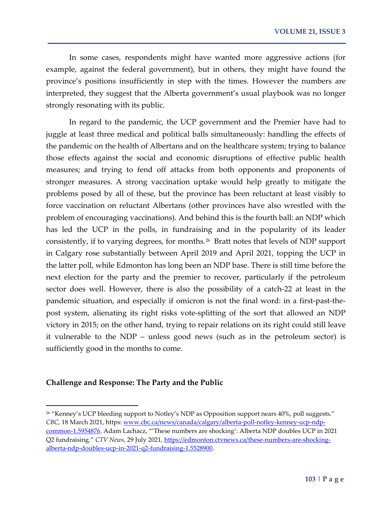In some cases, respondents might have wanted more aggressive actions (for example, against the federal government), but in others, they might have found the province's positions insufficiently in step with the times. However the numbers are interpreted, they suggest that the Alberta government's usual playbook was no longer strongly resonating with its public.

In regard to the pandemic, the UCP government and the Premier have had to juggle at least three medical and political balls simultaneously: handling the effects of the pandemic on the health of Albertans and on the healthcare system; trying to balance those effects against the social and economic disruptions of effective public health measures; and trying to fend off attacks from both opponents and proponents of stronger measures. A strong vaccination uptake would help greatly to mitigate the problems posed by all of these, but the province has been reluctant at least visibly to force vaccination on reluctant Albertans (other provinces have also wrestled with the problem of encouraging vaccinations). And behind this is the fourth ball: an NDP which has led the UCP in the polls, in fundraising and in the popularity of its leader consistently, if to varying degrees, for months.[26](#page-10-0) Bratt notes that levels of NDP support in Calgary rose substantially between April 2019 and April 2021, topping the UCP in the latter poll, while Edmonton has long been an NDP base. There is still time before the next election for the party and the premier to recover, particularly if the petroleum sector does well. However, there is also the possibility of a catch-22 at least in the pandemic situation, and especially if omicron is not the final word: in a first-past-thepost system, alienating its right risks vote-splitting of the sort that allowed an NDP victory in 2015; on the other hand, trying to repair relations on its right could still leave it vulnerable to the NDP – unless good news (such as in the petroleum sector) is sufficiently good in the months to come.

#### **Challenge and Response: The Party and the Public**

<span id="page-10-0"></span><sup>&</sup>lt;sup>26</sup> "Kenney's UCP bleeding support to Notley's NDP as Opposition support nears 40%, poll suggests." *CBC*, 18 March 2021, https[: www.cbc.ca/news/canada/calgary/alberta-poll-notley-kenney-ucp-ndp](http://www.cbc.ca/news/canada/calgary/alberta-poll-notley-kenney-ucp-ndp-common-1.5954876)[common-1.5954876.](http://www.cbc.ca/news/canada/calgary/alberta-poll-notley-kenney-ucp-ndp-common-1.5954876) Adam Lachacz, "'These numbers are shocking': Alberta NDP doubles UCP in 2021 Q2 fundraising." *CTV News*, 29 July 2021[, https://edmonton.ctvnews.ca/these-numbers-are-shocking](https://edmonton.ctvnews.ca/these-numbers-are-shocking-alberta-ndp-doubles-ucp-in-2021-q2-fundraising-1.5528900)[alberta-ndp-doubles-ucp-in-2021-q2-fundraising-1.5528900.](https://edmonton.ctvnews.ca/these-numbers-are-shocking-alberta-ndp-doubles-ucp-in-2021-q2-fundraising-1.5528900)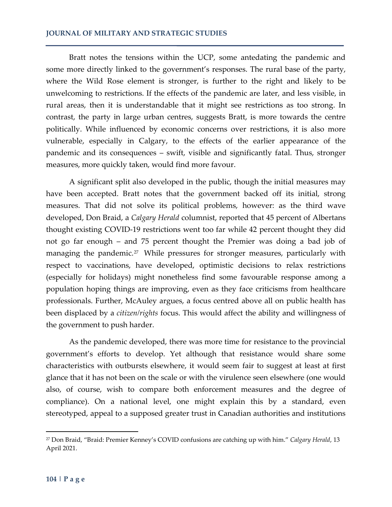Bratt notes the tensions within the UCP, some antedating the pandemic and some more directly linked to the government's responses. The rural base of the party, where the Wild Rose element is stronger, is further to the right and likely to be unwelcoming to restrictions. If the effects of the pandemic are later, and less visible, in rural areas, then it is understandable that it might see restrictions as too strong. In contrast, the party in large urban centres, suggests Bratt, is more towards the centre politically. While influenced by economic concerns over restrictions, it is also more vulnerable, especially in Calgary, to the effects of the earlier appearance of the pandemic and its consequences – swift, visible and significantly fatal. Thus, stronger measures, more quickly taken, would find more favour.

A significant split also developed in the public, though the initial measures may have been accepted. Bratt notes that the government backed off its initial, strong measures. That did not solve its political problems, however: as the third wave developed, Don Braid, a *Calgary Herald* columnist, reported that 45 percent of Albertans thought existing COVID-19 restrictions went too far while 42 percent thought they did not go far enough – and 75 percent thought the Premier was doing a bad job of managing the pandemic.<sup>[27](#page-11-0)</sup> While pressures for stronger measures, particularly with respect to vaccinations, have developed, optimistic decisions to relax restrictions (especially for holidays) might nonetheless find some favourable response among a population hoping things are improving, even as they face criticisms from healthcare professionals. Further, McAuley argues, a focus centred above all on public health has been displaced by a *citizen/rights* focus. This would affect the ability and willingness of the government to push harder.

As the pandemic developed, there was more time for resistance to the provincial government's efforts to develop. Yet although that resistance would share some characteristics with outbursts elsewhere, it would seem fair to suggest at least at first glance that it has not been on the scale or with the virulence seen elsewhere (one would also, of course, wish to compare both enforcement measures and the degree of compliance). On a national level, one might explain this by a standard, even stereotyped, appeal to a supposed greater trust in Canadian authorities and institutions

<span id="page-11-0"></span><sup>27</sup> Don Braid, "Braid: Premier Kenney's COVID confusions are catching up with him." *Calgary Herald*, 13 April 2021.